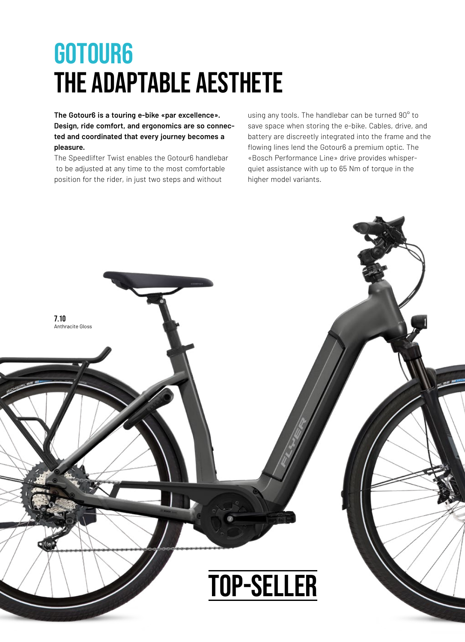## GOTOUR6 THE ADAPTABLE AESTHETE

**The Gotour6 is a touring e-bike «par excellence». Design, ride comfort, and ergonomics are so connected and coordinated that every journey becomes a pleasure.**

The Speedlifter Twist enables the Gotour6 handlebar to be adjusted at any time to the most comfortable position for the rider, in just two steps and without

using any tools. The handlebar can be turned 90° to save space when storing the e-bike. Cables, drive, and battery are discreetly integrated into the frame and the flowing lines lend the Gotour6 a premium optic. The «Bosch Performance Line» drive provides whisperquiet assistance with up to 65 Nm of torque in the higher model variants.

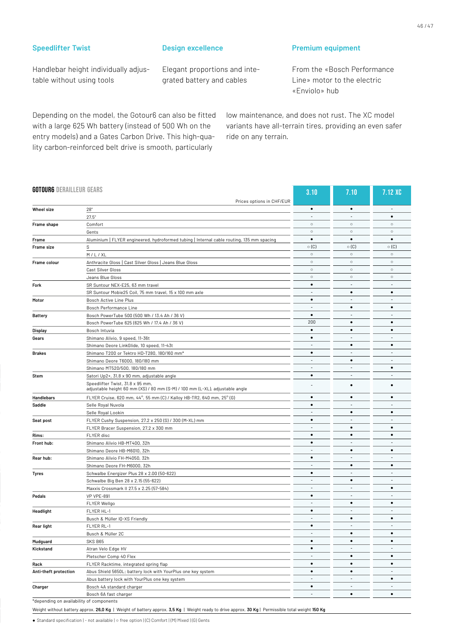## **Speedlifter Twist**

Handlebar height individually adjustable without using tools

## **Design excellence**

Elegant proportions and integrated battery and cables

## **Premium equipment**

From the «Bosch Performance Line» motor to the electric «Enviolo» hub

Depending on the model, the Gotour6 can also be fitted with a large 625 Wh battery (instead of 500 Wh on the entry models) and a Gates Carbon Drive. This high-quality carbon-reinforced belt drive is smooth, particularly

low maintenance, and does not rust. The XC model variants have all-terrain tires, providing an even safer ride on any terrain.

| <b>GOTOURG DERAILLEUR GEARS</b> |                                                                                                                  | 3.10                     | 7.10                     | 7.12 XC     |
|---------------------------------|------------------------------------------------------------------------------------------------------------------|--------------------------|--------------------------|-------------|
|                                 | Prices options in CHF/EUR                                                                                        |                          |                          |             |
| Wheel size                      | 28"                                                                                                              | $\bullet$<br>×.          | $\bullet$                | $\bullet$   |
|                                 | 27.5"                                                                                                            | $\circ$                  | $\circ$                  | $\circ$     |
| Frame shape                     | Comfort                                                                                                          | $\circ$                  | $\circ$                  | $\circ$     |
|                                 | Gents                                                                                                            | $\bullet$                | ٠                        | $\bullet$   |
| Frame                           | Aluminium   FLYER engineered, hydroformed tubing   Internal cable routing, 135 mm spacing                        | $\circ$ (C)              | $\circ$ (C)              | $\circ$ (C) |
| Frame size                      | S                                                                                                                | $\circ$                  | $\circ$                  | $\circ$     |
|                                 | M/L/XL                                                                                                           | $\circ$                  | $\circ$                  | $\circ$     |
| Frame colour                    | Anthracite Gloss   Cast Silver Gloss   Jeans Blue Gloss                                                          | $\circ$                  | $\circ$                  | $\circ$     |
|                                 | Cast Silver Gloss                                                                                                | $\circ$                  |                          | $\circ$     |
|                                 | Jeans Blue Gloss                                                                                                 | $\bullet$                | $\circ$                  |             |
| Fork                            | SR Suntour NEX-E25, 63 mm travel                                                                                 | $\sim$                   | $\blacksquare$           | ٠           |
|                                 | SR Suntour Mobie25 Coil, 75 mm travel, 15 x 100 mm axle                                                          |                          | $\bullet$                | ٠           |
| Motor                           | Bosch Active Line Plus                                                                                           | ٠                        |                          |             |
|                                 | Bosch Performance Line                                                                                           |                          | $\bullet$                | $\bullet$   |
| <b>Battery</b>                  | Bosch PowerTube 500 (500 Wh / 13.4 Ah / 36 V)                                                                    | $\bullet$                | $\blacksquare$           | ٠           |
|                                 | Bosch PowerTube 625 (625 Wh / 17.4 Ah / 36 V)                                                                    | 200                      | $\bullet$                | $\bullet$   |
| Display                         | Bosch Intuvia                                                                                                    | $\bullet$                | $\bullet$                | $\bullet$   |
| Gears                           | Shimano Alivio, 9 speed, 11-36t                                                                                  | ٠                        | $\blacksquare$           | ٠           |
|                                 | Shimano Deore LinkGlide, 10 speed, 11-43t                                                                        |                          | $\bullet$                | $\bullet$   |
| <b>Brakes</b>                   | Shimano T200 or Tektro HD-T280, 180/160 mm*                                                                      | $\bullet$                |                          | ٠           |
|                                 | Shimano Deore T6000, 180/180 mm                                                                                  | ٠                        | ٠                        | ٠           |
|                                 | Shimano MT520/500, 180/180 mm                                                                                    |                          |                          | $\bullet$   |
| Stem                            | Satori Up2+, 31.8 x 90 mm, adjustable angle                                                                      | $\bullet$                | $\overline{\phantom{a}}$ | ÷           |
|                                 | Speedlifter Twist, 31.8 x 95 mm,<br>adjustable height 60 mm (XS) / 80 mm (S-M) / 100 mm (L-XL), adjustable angle |                          | $\bullet$                | $\bullet$   |
| Handlebars                      | FLYER Cruise, 620 mm, 44°, 55 mm (C) / Kalloy HB-TR2, 640 mm, 25° (G)                                            | ٠                        | $\bullet$                | $\bullet$   |
| Saddle                          | Selle Royal Nuvola                                                                                               | $\bullet$                |                          |             |
|                                 | Selle Royal Lookin                                                                                               |                          | $\bullet$                | $\bullet$   |
| Seat post                       | FLYER Cushy Suspension, 27.2 x 250 (S) / 300 (M-XL) mm                                                           | ٠                        | $\blacksquare$           | ٠           |
|                                 | FLYER Bracer Suspension, 27.2 x 300 mm                                                                           |                          | $\bullet$                | $\bullet$   |
| Rims:                           | FLYER disc                                                                                                       | ٠                        | $\bullet$                | $\bullet$   |
| Front hub:                      | Shimano Alivio HB-MT400, 32h                                                                                     | $\bullet$                | $\blacksquare$           |             |
|                                 | Shimano Deore HB-M6010, 32h                                                                                      |                          | $\bullet$                | $\bullet$   |
| Rear hub:                       | Shimano Alivio FH-M4050, 32h                                                                                     | $\bullet$                |                          | ÷           |
|                                 | Shimano Deore FH-M6000, 32h                                                                                      | $\overline{\phantom{a}}$ | ٠                        | ٠           |
| Tyres                           | Schwalbe Energizer Plus 28 x 2.00 (50-622)                                                                       | $\bullet$                | $\overline{\phantom{a}}$ | $\sim$      |
|                                 | Schwalbe Big Ben 28 x 2.15 (55-622)                                                                              | ٠                        | ٠                        | ÷           |
|                                 | Maxxis Crossmark II 27.5 x 2.25 (57-584)                                                                         | $\overline{a}$           |                          | $\bullet$   |
| Pedals                          | <b>VP VPE-891</b>                                                                                                | $\bullet$                | $\overline{\phantom{a}}$ | ÷           |
|                                 | <b>FLYER Wellgo</b>                                                                                              |                          | $\bullet$                | $\bullet$   |
| Headlight                       | FLYER HL-1                                                                                                       | $\bullet$                |                          |             |
|                                 | Busch & Müller IQ-XS Friendly                                                                                    | ٠                        | ٠                        | ٠           |
| Rear light                      | FLYER RL-1                                                                                                       |                          |                          |             |
|                                 | Busch & Müller 2C                                                                                                |                          | ٠                        | $\bullet$   |
| Mudguard                        | SKS B65                                                                                                          | $\bullet$                | ٠                        | ٠           |
| Kickstand                       | Atran Velo Edge HV                                                                                               | $\bullet$                | $\overline{\phantom{a}}$ | ٠           |
|                                 | Pletscher Comp 40 Flex                                                                                           |                          | ٠                        | $\bullet$   |
|                                 | FLYER Racktime, integrated spring flap                                                                           | ٠                        | $\bullet$                | $\bullet$   |
| Rack<br>Anti-theft protection   | Abus Shield 5650L; battery lock with YourPlus one key system                                                     | $\bullet$                | $\bullet$                | ٠           |
|                                 |                                                                                                                  |                          |                          | ٠           |
| Charger                         | Abus battery lock with YourPlus one key system                                                                   | $\bullet$                |                          |             |
|                                 | Bosch 4A standard charger                                                                                        |                          |                          |             |
|                                 | Bosch 6A fast charger                                                                                            | ×.                       | $\bullet$                | ٠           |

● Standard specification | - not available | o free option | (C) Comfort | (M) Mixed | (G) Gents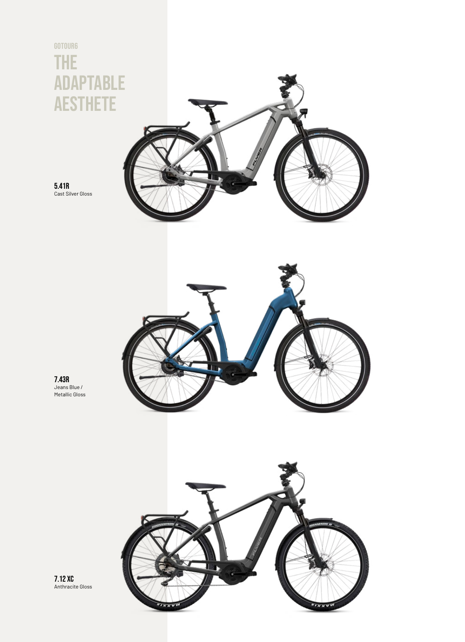



7.12 XC Anthracite Gloss